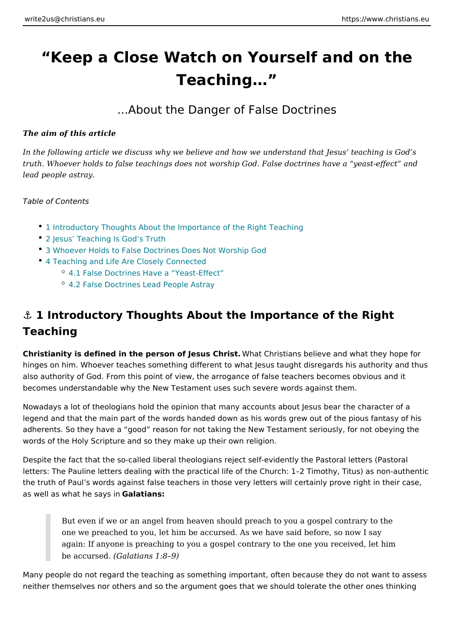# Keep a Close Watch on Yourself and o Teaching &

#### ...About the Danger of False Doctrines

The aim of this article

In the following article we discuss why we believe and how we understand that J truth. Whoever holds to false teachings does not worship God. False doctrines h lead people astray.

Table of Contents

- 1 Introductory Thoughts About the Importance of the Right Teaching
- [2 Jesus Teaching Is G](#page-1-0)od s Truth
- [3 Whoever Holds to False Doctrines Does](#page-1-0) Not Worship God
- [4 Teaching and Life Are Close](#page-1-0)ly Connected
	- 4.1 False Doctrines Have a Yeast-Effect
		- [4.2 False Doctrines Lead P](#page-3-0)eople Astray

# &" 1 Introductory Thoughts About the Importance of the Right Teaching

Christianity is defined in the person of Jetsus at CChristians believe and what they hinges on him. Whoever teaches something different to what Jesus taught disreg also authority of God. From this point of view, the arrogance of false teachers b becomes understandable why the New Testament uses such severe words against

Nowadays a lot of theologians hold the opinion that many accounts about Jesus legend and that the main part of the words handed down as his words grew out o adherents. So they have a good reason for not taking the New Testament serio words of the Holy Scripture and so they make up their own religion.

Despite the fact that the so-called liberal theologians reject self-evidently the P letters: The Pauline letters dealing with the practical life of the Church: 1 2 Tim the truth of Paul s words against false teachers in those very letters will certain as well as what he Gsaalyastiianns:

But even if we or an angel from heaven should preach to you a gospel c one we preached to you, let him be accursed. As we have said before, s again: If anyone is preaching to you a gospel contrary to the one you re be accurs  $\theta$ Gdalatians 1:8 9)

Many people do not regard the teaching as something important, often because t neither themselves nor others and so the argument goes that we should tolerate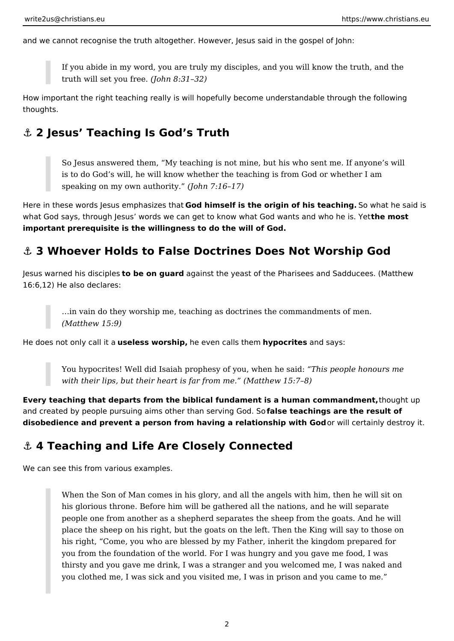<span id="page-1-0"></span>and we cannot recognise the truth altogether. However, Jesus said in the gospel of John:

If you abide in my word, you are truly my disciples, and you will know the truth, and the truth will set you free. *(John 8:31–32)*

How important the right teaching really is will hopefully become understandable through the following thoughts.

## **⚓ 2 Jesus' Teaching Is God's Truth**

So Jesus answered them, "My teaching is not mine, but his who sent me. If anyone's will is to do God's will, he will know whether the teaching is from God or whether I am speaking on my own authority." *(John 7:16–17)*

Here in these words Jesus emphasizes that **God himself is the origin of his teaching.** So what he said is what God says, through Jesus' words we can get to know what God wants and who he is. Yet **the most important prerequisite is the willingness to do the will of God.**

## **⚓ 3 Whoever Holds to False Doctrines Does Not Worship God**

Jesus warned his disciples **to be on guard** against the yeast of the Pharisees and Sadducees. (Matthew 16:6,12) He also declares:

> …in vain do they worship me, teaching as doctrines the commandments of men. *(Matthew 15:9)*

He does not only call it a **useless worship,** he even calls them **hypocrites** and says:

You hypocrites! Well did Isaiah prophesy of you, when he said: *"This people honours me with their lips, but their heart is far from me." (Matthew 15:7–8)*

**Every teaching that departs from the biblical fundament is a human commandment,** thought up and created by people pursuing aims other than serving God. So **false teachings are the result of disobedience and prevent a person from having a relationship with God** or will certainly destroy it.

## **⚓ 4 Teaching and Life Are Closely Connected**

We can see this from various examples.

When the Son of Man comes in his glory, and all the angels with him, then he will sit on his glorious throne. Before him will be gathered all the nations, and he will separate people one from another as a shepherd separates the sheep from the goats. And he will place the sheep on his right, but the goats on the left. Then the King will say to those on his right, "Come, you who are blessed by my Father, inherit the kingdom prepared for you from the foundation of the world. For I was hungry and you gave me food, I was thirsty and you gave me drink, I was a stranger and you welcomed me, I was naked and you clothed me, I was sick and you visited me, I was in prison and you came to me."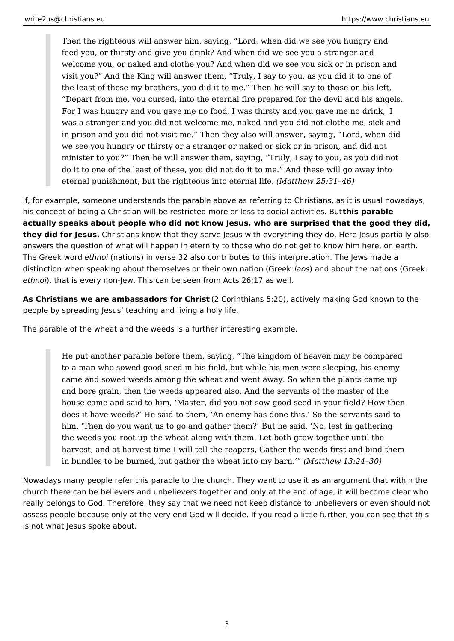Then the righteous will answer him, saying, "Lord, when did we see you hungry and feed you, or thirsty and give you drink? And when did we see you a stranger and welcome you, or naked and clothe you? And when did we see you sick or in prison and visit you?" And the King will answer them, "Truly, I say to you, as you did it to one of the least of these my brothers, you did it to me." Then he will say to those on his left, "Depart from me, you cursed, into the eternal fire prepared for the devil and his angels. For I was hungry and you gave me no food, I was thirsty and you gave me no drink, I was a stranger and you did not welcome me, naked and you did not clothe me, sick and in prison and you did not visit me." Then they also will answer, saying, "Lord, when did we see you hungry or thirsty or a stranger or naked or sick or in prison, and did not minister to you?" Then he will answer them, saying, "Truly, I say to you, as you did not do it to one of the least of these, you did not do it to me." And these will go away into eternal punishment, but the righteous into eternal life. *(Matthew 25:31–46)*

If, for example, someone understands the parable above as referring to Christians, as it is usual nowadays, his concept of being a Christian will be restricted more or less to social activities. But **this parable actually speaks about people who did not know Jesus, who are surprised that the good they did, they did for Jesus.** Christians know that they serve Jesus with everything they do. Here Jesus partially also answers the question of what will happen in eternity to those who do not get to know him here, on earth. The Greek word *ethnoi* (nations) in verse 32 also contributes to this interpretation. The Jews made a distinction when speaking about themselves or their own nation (Greek: *laos*) and about the nations (Greek: *ethnoi*), that is every non-Jew. This can be seen from Acts 26:17 as well.

**As Christians we are ambassadors for Christ** (2 Corinthians 5:20), actively making God known to the people by spreading Jesus' teaching and living a holy life.

The parable of the wheat and the weeds is a further interesting example.

He put another parable before them, saying, "The kingdom of heaven may be compared to a man who sowed good seed in his field, but while his men were sleeping, his enemy came and sowed weeds among the wheat and went away. So when the plants came up and bore grain, then the weeds appeared also. And the servants of the master of the house came and said to him, 'Master, did you not sow good seed in your field? How then does it have weeds?' He said to them, 'An enemy has done this.' So the servants said to him, 'Then do you want us to go and gather them?' But he said, 'No, lest in gathering the weeds you root up the wheat along with them. Let both grow together until the harvest, and at harvest time I will tell the reapers, Gather the weeds first and bind them in bundles to be burned, but gather the wheat into my barn.'" *(Matthew 13:24–30)*

Nowadays many people refer this parable to the church. They want to use it as an argument that within the church there can be believers and unbelievers together and only at the end of age, it will become clear who really belongs to God. Therefore, they say that we need not keep distance to unbelievers or even should not assess people because only at the very end God will decide. If you read a little further, you can see that this is not what Jesus spoke about.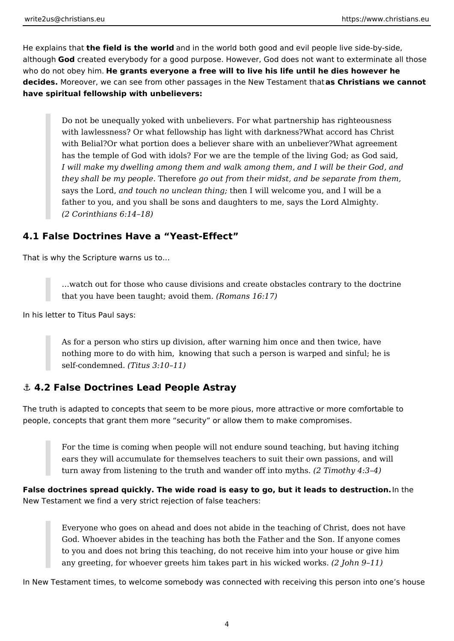<span id="page-3-0"></span>He explains that **the field is the world** and in the world both good and evil people live side-by-side, although **God** created everybody for a good purpose. However, God does not want to exterminate all those who do not obey him. **He grants everyone a free will to live his life until he dies however he decides.** Moreover, we can see from other passages in the New Testament that **as Christians we cannot have spiritual fellowship with unbelievers:**

Do not be unequally yoked with unbelievers. For what partnership has righteousness with lawlessness? Or what fellowship has light with darkness?What accord has Christ with Belial?Or what portion does a believer share with an unbeliever?What agreement has the temple of God with idols? For we are the temple of the living God; as God said, *I will make my dwelling among them and walk among them, and I will be their God, and they shall be my people.* Therefore *go out from their midst, and be separate from them,* says the Lord, *and touch no unclean thing;* then I will welcome you, and I will be a father to you, and you shall be sons and daughters to me, says the Lord Almighty. *(2 Corinthians 6:14–18)*

### **4.1 False Doctrines Have a "Yeast-Effect"**

That is why the Scripture warns us to…

…watch out for those who cause divisions and create obstacles contrary to the doctrine that you have been taught; avoid them. *(Romans 16:17)*

In his letter to Titus Paul says:

As for a person who stirs up division, after warning him once and then twice, have nothing more to do with him, knowing that such a person is warped and sinful; he is self-condemned. *(Titus 3:10–11)*

#### **⚓ 4.2 False Doctrines Lead People Astray**

The truth is adapted to concepts that seem to be more pious, more attractive or more comfortable to people, concepts that grant them more "security" or allow them to make compromises.

For the time is coming when people will not endure sound teaching, but having itching ears they will accumulate for themselves teachers to suit their own passions, and will turn away from listening to the truth and wander off into myths. *(2 Timothy 4:3–4)*

**False doctrines spread quickly. The wide road is easy to go, but it leads to destruction.** In the New Testament we find a very strict rejection of false teachers:

Everyone who goes on ahead and does not abide in the teaching of Christ, does not have God. Whoever abides in the teaching has both the Father and the Son. If anyone comes to you and does not bring this teaching, do not receive him into your house or give him any greeting, for whoever greets him takes part in his wicked works. *(2 John 9–11)*

In New Testament times, to welcome somebody was connected with receiving this person into one's house